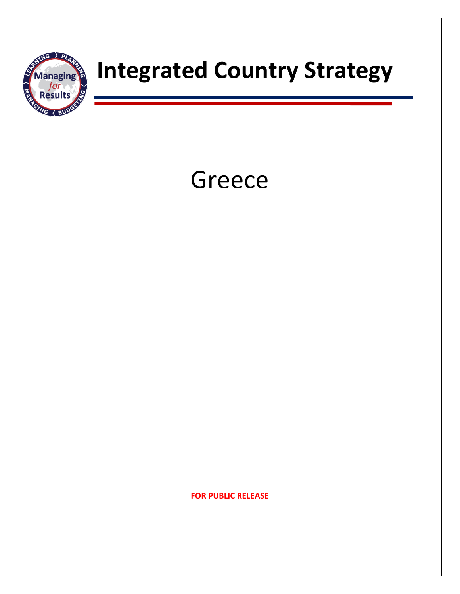

# **TARRANGE STRATEGY Integrated Country Strategy**

# Greece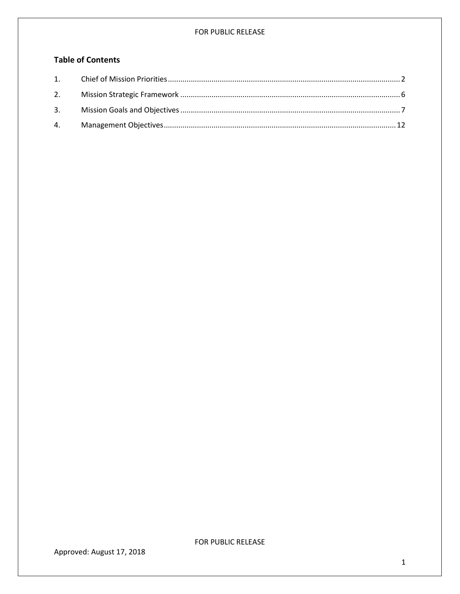## **Table of Contents**

<span id="page-1-0"></span>

Approved: August 17, 2018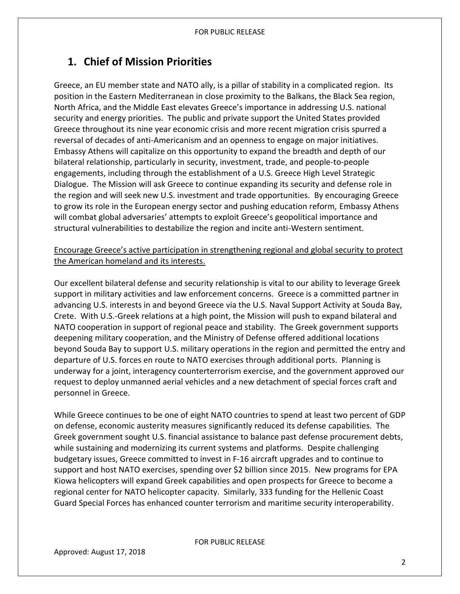# **1. Chief of Mission Priorities**

Greece, an EU member state and NATO ally, is a pillar of stability in a complicated region. Its position in the Eastern Mediterranean in close proximity to the Balkans, the Black Sea region, North Africa, and the Middle East elevates Greece's importance in addressing U.S. national security and energy priorities. The public and private support the United States provided Greece throughout its nine year economic crisis and more recent migration crisis spurred a reversal of decades of anti-Americanism and an openness to engage on major initiatives. Embassy Athens will capitalize on this opportunity to expand the breadth and depth of our bilateral relationship, particularly in security, investment, trade, and people-to-people engagements, including through the establishment of a U.S. Greece High Level Strategic Dialogue. The Mission will ask Greece to continue expanding its security and defense role in the region and will seek new U.S. investment and trade opportunities. By encouraging Greece to grow its role in the European energy sector and pushing education reform, Embassy Athens will combat global adversaries' attempts to exploit Greece's geopolitical importance and structural vulnerabilities to destabilize the region and incite anti-Western sentiment.

Encourage Greece's active participation in strengthening regional and global security to protect the American homeland and its interests.

Our excellent bilateral defense and security relationship is vital to our ability to leverage Greek support in military activities and law enforcement concerns. Greece is a committed partner in advancing U.S. interests in and beyond Greece via the U.S. Naval Support Activity at Souda Bay, Crete. With U.S.-Greek relations at a high point, the Mission will push to expand bilateral and NATO cooperation in support of regional peace and stability. The Greek government supports deepening military cooperation, and the Ministry of Defense offered additional locations beyond Souda Bay to support U.S. military operations in the region and permitted the entry and departure of U.S. forces en route to NATO exercises through additional ports. Planning is underway for a joint, interagency counterterrorism exercise, and the government approved our request to deploy unmanned aerial vehicles and a new detachment of special forces craft and personnel in Greece.

While Greece continues to be one of eight NATO countries to spend at least two percent of GDP on defense, economic austerity measures significantly reduced its defense capabilities. The Greek government sought U.S. financial assistance to balance past defense procurement debts, while sustaining and modernizing its current systems and platforms. Despite challenging budgetary issues, Greece committed to invest in F-16 aircraft upgrades and to continue to support and host NATO exercises, spending over \$2 billion since 2015. New programs for EPA Kiowa helicopters will expand Greek capabilities and open prospects for Greece to become a regional center for NATO helicopter capacity. Similarly, 333 funding for the Hellenic Coast Guard Special Forces has enhanced counter terrorism and maritime security interoperability.

FOR PUBLIC RELEASE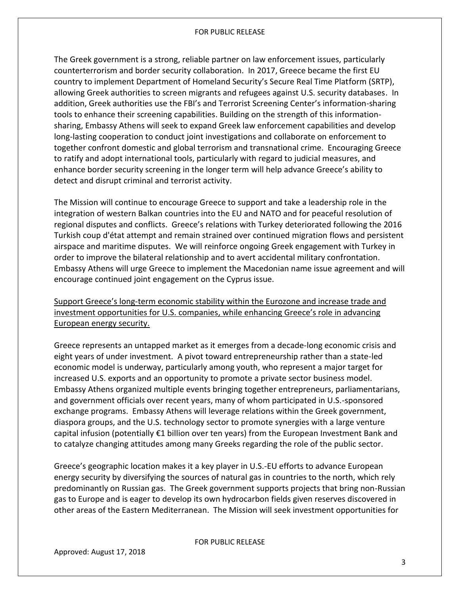The Greek government is a strong, reliable partner on law enforcement issues, particularly counterterrorism and border security collaboration. In 2017, Greece became the first EU country to implement Department of Homeland Security's Secure Real Time Platform (SRTP), allowing Greek authorities to screen migrants and refugees against U.S. security databases. In addition, Greek authorities use the FBI's and Terrorist Screening Center's information-sharing tools to enhance their screening capabilities. Building on the strength of this informationsharing, Embassy Athens will seek to expand Greek law enforcement capabilities and develop long-lasting cooperation to conduct joint investigations and collaborate on enforcement to together confront domestic and global terrorism and transnational crime. Encouraging Greece to ratify and adopt international tools, particularly with regard to judicial measures, and enhance border security screening in the longer term will help advance Greece's ability to detect and disrupt criminal and terrorist activity.

The Mission will continue to encourage Greece to support and take a leadership role in the integration of western Balkan countries into the EU and NATO and for peaceful resolution of regional disputes and conflicts. Greece's relations with Turkey deteriorated following the 2016 Turkish coup d'état attempt and remain strained over continued migration flows and persistent airspace and maritime disputes. We will reinforce ongoing Greek engagement with Turkey in order to improve the bilateral relationship and to avert accidental military confrontation. Embassy Athens will urge Greece to implement the Macedonian name issue agreement and will encourage continued joint engagement on the Cyprus issue.

Support Greece's long-term economic stability within the Eurozone and increase trade and investment opportunities for U.S. companies, while enhancing Greece's role in advancing European energy security.

Greece represents an untapped market as it emerges from a decade-long economic crisis and eight years of under investment. A pivot toward entrepreneurship rather than a state-led economic model is underway, particularly among youth, who represent a major target for increased U.S. exports and an opportunity to promote a private sector business model. Embassy Athens organized multiple events bringing together entrepreneurs, parliamentarians, and government officials over recent years, many of whom participated in U.S.-sponsored exchange programs. Embassy Athens will leverage relations within the Greek government, diaspora groups, and the U.S. technology sector to promote synergies with a large venture capital infusion (potentially €1 billion over ten years) from the European Investment Bank and to catalyze changing attitudes among many Greeks regarding the role of the public sector.

Greece's geographic location makes it a key player in U.S.-EU efforts to advance European energy security by diversifying the sources of natural gas in countries to the north, which rely predominantly on Russian gas. The Greek government supports projects that bring non-Russian gas to Europe and is eager to develop its own hydrocarbon fields given reserves discovered in other areas of the Eastern Mediterranean. The Mission will seek investment opportunities for

FOR PUBLIC RELEASE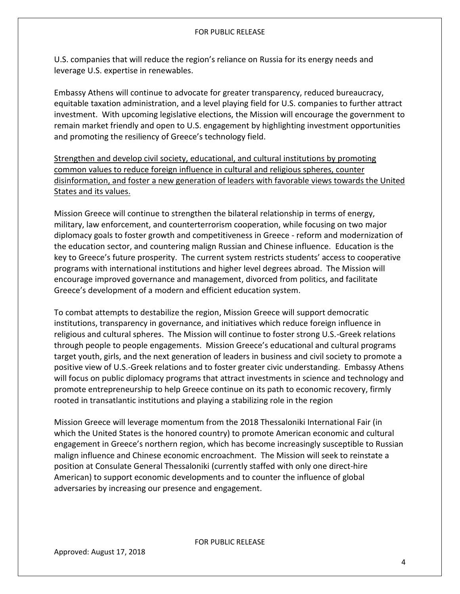U.S. companies that will reduce the region's reliance on Russia for its energy needs and leverage U.S. expertise in renewables.

Embassy Athens will continue to advocate for greater transparency, reduced bureaucracy, equitable taxation administration, and a level playing field for U.S. companies to further attract investment. With upcoming legislative elections, the Mission will encourage the government to remain market friendly and open to U.S. engagement by highlighting investment opportunities and promoting the resiliency of Greece's technology field.

Strengthen and develop civil society, educational, and cultural institutions by promoting common values to reduce foreign influence in cultural and religious spheres, counter disinformation, and foster a new generation of leaders with favorable views towards the United States and its values.

Mission Greece will continue to strengthen the bilateral relationship in terms of energy, military, law enforcement, and counterterrorism cooperation, while focusing on two major diplomacy goals to foster growth and competitiveness in Greece - reform and modernization of the education sector, and countering malign Russian and Chinese influence. Education is the key to Greece's future prosperity. The current system restricts students' access to cooperative programs with international institutions and higher level degrees abroad. The Mission will encourage improved governance and management, divorced from politics, and facilitate Greece's development of a modern and efficient education system.

To combat attempts to destabilize the region, Mission Greece will support democratic institutions, transparency in governance, and initiatives which reduce foreign influence in religious and cultural spheres. The Mission will continue to foster strong U.S.-Greek relations through people to people engagements. Mission Greece's educational and cultural programs target youth, girls, and the next generation of leaders in business and civil society to promote a positive view of U.S.-Greek relations and to foster greater civic understanding. Embassy Athens will focus on public diplomacy programs that attract investments in science and technology and promote entrepreneurship to help Greece continue on its path to economic recovery, firmly rooted in transatlantic institutions and playing a stabilizing role in the region

Mission Greece will leverage momentum from the 2018 Thessaloniki International Fair (in which the United States is the honored country) to promote American economic and cultural engagement in Greece's northern region, which has become increasingly susceptible to Russian malign influence and Chinese economic encroachment. The Mission will seek to reinstate a position at Consulate General Thessaloniki (currently staffed with only one direct-hire American) to support economic developments and to counter the influence of global adversaries by increasing our presence and engagement.

FOR PUBLIC RELEASE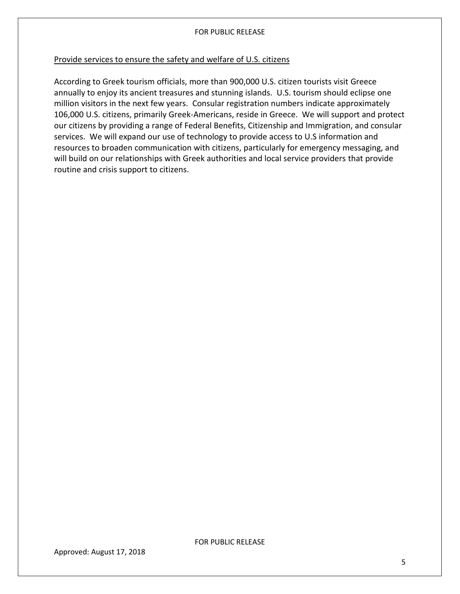## Provide services to ensure the safety and welfare of U.S. citizens

<span id="page-5-0"></span>According to Greek tourism officials, more than 900,000 U.S. citizen tourists visit Greece annually to enjoy its ancient treasures and stunning islands. U.S. tourism should eclipse one million visitors in the next few years. Consular registration numbers indicate approximately 106,000 U.S. citizens, primarily Greek-Americans, reside in Greece. We will support and protect our citizens by providing a range of Federal Benefits, Citizenship and Immigration, and consular services. We will expand our use of technology to provide access to U.S information and resources to broaden communication with citizens, particularly for emergency messaging, and will build on our relationships with Greek authorities and local service providers that provide routine and crisis support to citizens.

Approved: August 17, 2018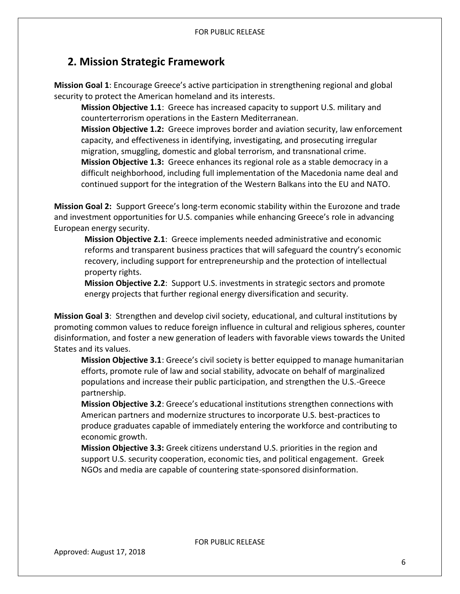## **2. Mission Strategic Framework**

**Mission Goal 1**: Encourage Greece's active participation in strengthening regional and global security to protect the American homeland and its interests.

**Mission Objective 1.1**: Greece has increased capacity to support U.S. military and counterterrorism operations in the Eastern Mediterranean.

**Mission Objective 1.2:** Greece improves border and aviation security, law enforcement capacity, and effectiveness in identifying, investigating, and prosecuting irregular migration, smuggling, domestic and global terrorism, and transnational crime. **Mission Objective 1.3:** Greece enhances its regional role as a stable democracy in a difficult neighborhood, including full implementation of the Macedonia name deal and continued support for the integration of the Western Balkans into the EU and NATO.

**Mission Goal 2:** Support Greece's long-term economic stability within the Eurozone and trade and investment opportunities for U.S. companies while enhancing Greece's role in advancing European energy security.

**Mission Objective 2.1**: Greece implements needed administrative and economic reforms and transparent business practices that will safeguard the country's economic recovery, including support for entrepreneurship and the protection of intellectual property rights.

**Mission Objective 2.2**: Support U.S. investments in strategic sectors and promote energy projects that further regional energy diversification and security.

**Mission Goal 3**: Strengthen and develop civil society, educational, and cultural institutions by promoting common values to reduce foreign influence in cultural and religious spheres, counter disinformation, and foster a new generation of leaders with favorable views towards the United States and its values.

**Mission Objective 3.1**: Greece's civil society is better equipped to manage humanitarian efforts, promote rule of law and social stability, advocate on behalf of marginalized populations and increase their public participation, and strengthen the U.S.-Greece partnership.

**Mission Objective 3.2**: Greece's educational institutions strengthen connections with American partners and modernize structures to incorporate U.S. best-practices to produce graduates capable of immediately entering the workforce and contributing to economic growth.

**Mission Objective 3.3:** Greek citizens understand U.S. priorities in the region and support U.S. security cooperation, economic ties, and political engagement. Greek NGOs and media are capable of countering state-sponsored disinformation.

Approved: August 17, 2018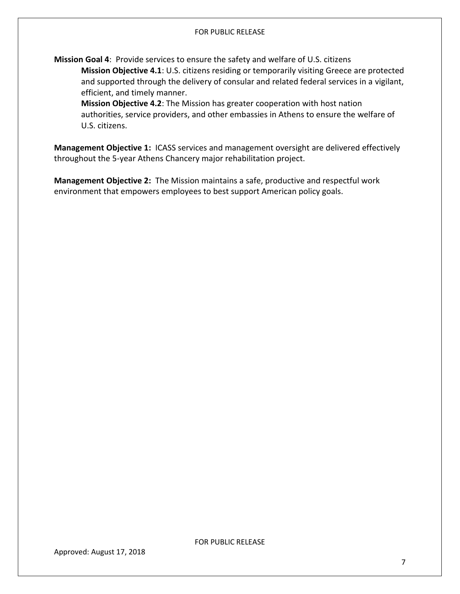**Mission Goal 4**: Provide services to ensure the safety and welfare of U.S. citizens **Mission Objective 4.1**: U.S. citizens residing or temporarily visiting Greece are protected and supported through the delivery of consular and related federal services in a vigilant, efficient, and timely manner.

**Mission Objective 4.2**: The Mission has greater cooperation with host nation authorities, service providers, and other embassies in Athens to ensure the welfare of U.S. citizens.

<span id="page-7-0"></span>**Management Objective 1:** ICASS services and management oversight are delivered effectively throughout the 5-year Athens Chancery major rehabilitation project.

**Management Objective 2:** The Mission maintains a safe, productive and respectful work environment that empowers employees to best support American policy goals.

Approved: August 17, 2018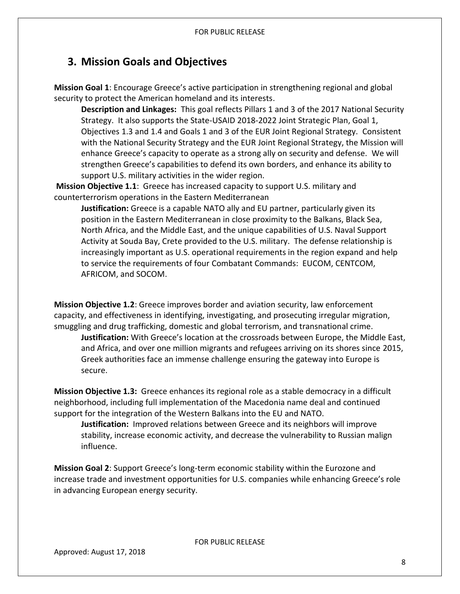## **3. Mission Goals and Objectives**

**Mission Goal 1**: Encourage Greece's active participation in strengthening regional and global security to protect the American homeland and its interests.

**Description and Linkages:** This goal reflects Pillars 1 and 3 of the 2017 National Security Strategy. It also supports the State-USAID 2018-2022 Joint Strategic Plan, Goal 1, Objectives 1.3 and 1.4 and Goals 1 and 3 of the EUR Joint Regional Strategy. Consistent with the National Security Strategy and the EUR Joint Regional Strategy, the Mission will enhance Greece's capacity to operate as a strong ally on security and defense. We will strengthen Greece's capabilities to defend its own borders, and enhance its ability to support U.S. military activities in the wider region.

**Mission Objective 1.1**: Greece has increased capacity to support U.S. military and counterterrorism operations in the Eastern Mediterranean

**Justification:** Greece is a capable NATO ally and EU partner, particularly given its position in the Eastern Mediterranean in close proximity to the Balkans, Black Sea, North Africa, and the Middle East, and the unique capabilities of U.S. Naval Support Activity at Souda Bay, Crete provided to the U.S. military. The defense relationship is increasingly important as U.S. operational requirements in the region expand and help to service the requirements of four Combatant Commands: EUCOM, CENTCOM, AFRICOM, and SOCOM.

**Mission Objective 1.2**: Greece improves border and aviation security, law enforcement capacity, and effectiveness in identifying, investigating, and prosecuting irregular migration, smuggling and drug trafficking, domestic and global terrorism, and transnational crime.

**Justification:** With Greece's location at the crossroads between Europe, the Middle East, and Africa, and over one million migrants and refugees arriving on its shores since 2015, Greek authorities face an immense challenge ensuring the gateway into Europe is secure.

**Mission Objective 1.3:** Greece enhances its regional role as a stable democracy in a difficult neighborhood, including full implementation of the Macedonia name deal and continued support for the integration of the Western Balkans into the EU and NATO.

**Justification:** Improved relations between Greece and its neighbors will improve stability, increase economic activity, and decrease the vulnerability to Russian malign influence.

**Mission Goal 2**: Support Greece's long-term economic stability within the Eurozone and increase trade and investment opportunities for U.S. companies while enhancing Greece's role in advancing European energy security.

FOR PUBLIC RELEASE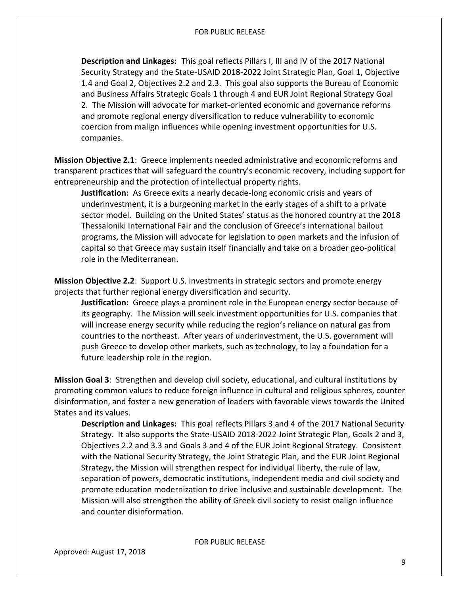**Description and Linkages:** This goal reflects Pillars I, III and IV of the 2017 National Security Strategy and the State-USAID 2018-2022 Joint Strategic Plan, Goal 1, Objective 1.4 and Goal 2, Objectives 2.2 and 2.3. This goal also supports the Bureau of Economic and Business Affairs Strategic Goals 1 through 4 and EUR Joint Regional Strategy Goal 2. The Mission will advocate for market-oriented economic and governance reforms and promote regional energy diversification to reduce vulnerability to economic coercion from malign influences while opening investment opportunities for U.S. companies.

**Mission Objective 2.1**: Greece implements needed administrative and economic reforms and transparent practices that will safeguard the country's economic recovery, including support for entrepreneurship and the protection of intellectual property rights.

**Justification:** As Greece exits a nearly decade-long economic crisis and years of underinvestment, it is a burgeoning market in the early stages of a shift to a private sector model. Building on the United States' status as the honored country at the 2018 Thessaloniki International Fair and the conclusion of Greece's international bailout programs, the Mission will advocate for legislation to open markets and the infusion of capital so that Greece may sustain itself financially and take on a broader geo-political role in the Mediterranean.

**Mission Objective 2.2**: Support U.S. investments in strategic sectors and promote energy projects that further regional energy diversification and security.

**Justification:** Greece plays a prominent role in the European energy sector because of its geography. The Mission will seek investment opportunities for U.S. companies that will increase energy security while reducing the region's reliance on natural gas from countries to the northeast. After years of underinvestment, the U.S. government will push Greece to develop other markets, such as technology, to lay a foundation for a future leadership role in the region.

**Mission Goal 3**: Strengthen and develop civil society, educational, and cultural institutions by promoting common values to reduce foreign influence in cultural and religious spheres, counter disinformation, and foster a new generation of leaders with favorable views towards the United States and its values.

**Description and Linkages:** This goal reflects Pillars 3 and 4 of the 2017 National Security Strategy. It also supports the State-USAID 2018-2022 Joint Strategic Plan, Goals 2 and 3, Objectives 2.2 and 3.3 and Goals 3 and 4 of the EUR Joint Regional Strategy. Consistent with the National Security Strategy, the Joint Strategic Plan, and the EUR Joint Regional Strategy, the Mission will strengthen respect for individual liberty, the rule of law, separation of powers, democratic institutions, independent media and civil society and promote education modernization to drive inclusive and sustainable development. The Mission will also strengthen the ability of Greek civil society to resist malign influence and counter disinformation.

FOR PUBLIC RELEASE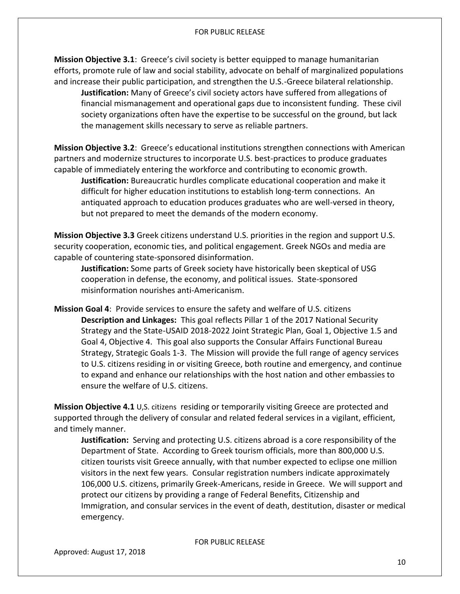**Mission Objective 3.1**: Greece's civil society is better equipped to manage humanitarian efforts, promote rule of law and social stability, advocate on behalf of marginalized populations and increase their public participation, and strengthen the U.S.-Greece bilateral relationship.

**Justification:** Many of Greece's civil society actors have suffered from allegations of financial mismanagement and operational gaps due to inconsistent funding. These civil society organizations often have the expertise to be successful on the ground, but lack the management skills necessary to serve as reliable partners.

**Mission Objective 3.2**: Greece's educational institutions strengthen connections with American partners and modernize structures to incorporate U.S. best-practices to produce graduates capable of immediately entering the workforce and contributing to economic growth.

**Justification:** Bureaucratic hurdles complicate educational cooperation and make it difficult for higher education institutions to establish long-term connections. An antiquated approach to education produces graduates who are well-versed in theory, but not prepared to meet the demands of the modern economy.

**Mission Objective 3.3** Greek citizens understand U.S. priorities in the region and support U.S. security cooperation, economic ties, and political engagement. Greek NGOs and media are capable of countering state-sponsored disinformation.

**Justification:** Some parts of Greek society have historically been skeptical of USG cooperation in defense, the economy, and political issues. State-sponsored misinformation nourishes anti-Americanism.

**Mission Goal 4**: Provide services to ensure the safety and welfare of U.S. citizens **Description and Linkages:** This goal reflects Pillar 1 of the 2017 National Security Strategy and the State-USAID 2018-2022 Joint Strategic Plan, Goal 1, Objective 1.5 and Goal 4, Objective 4. This goal also supports the Consular Affairs Functional Bureau Strategy, Strategic Goals 1-3. The Mission will provide the full range of agency services to U.S. citizens residing in or visiting Greece, both routine and emergency, and continue to expand and enhance our relationships with the host nation and other embassies to ensure the welfare of U.S. citizens.

**Mission Objective 4.1** U,S. citizens residing or temporarily visiting Greece are protected and supported through the delivery of consular and related federal services in a vigilant, efficient, and timely manner.

**Justification:** Serving and protecting U.S. citizens abroad is a core responsibility of the Department of State. According to Greek tourism officials, more than 800,000 U.S. citizen tourists visit Greece annually, with that number expected to eclipse one million visitors in the next few years. Consular registration numbers indicate approximately 106,000 U.S. citizens, primarily Greek-Americans, reside in Greece. We will support and protect our citizens by providing a range of Federal Benefits, Citizenship and Immigration, and consular services in the event of death, destitution, disaster or medical emergency.

FOR PUBLIC RELEASE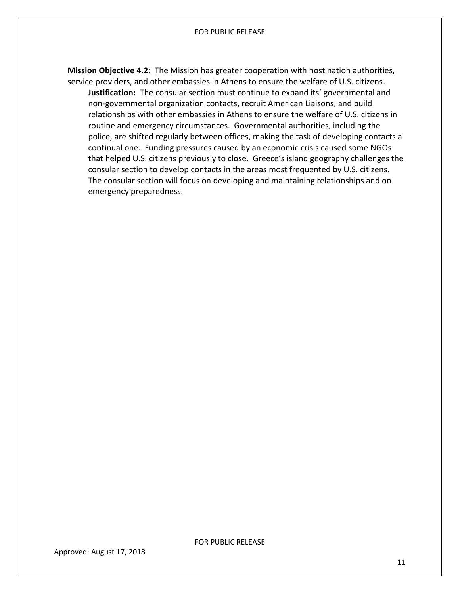**Mission Objective 4.2**: The Mission has greater cooperation with host nation authorities, service providers, and other embassies in Athens to ensure the welfare of U.S. citizens.

<span id="page-11-0"></span>**Justification:** The consular section must continue to expand its' governmental and non-governmental organization contacts, recruit American Liaisons, and build relationships with other embassies in Athens to ensure the welfare of U.S. citizens in routine and emergency circumstances. Governmental authorities, including the police, are shifted regularly between offices, making the task of developing contacts a continual one. Funding pressures caused by an economic crisis caused some NGOs that helped U.S. citizens previously to close. Greece's island geography challenges the consular section to develop contacts in the areas most frequented by U.S. citizens. The consular section will focus on developing and maintaining relationships and on emergency preparedness.